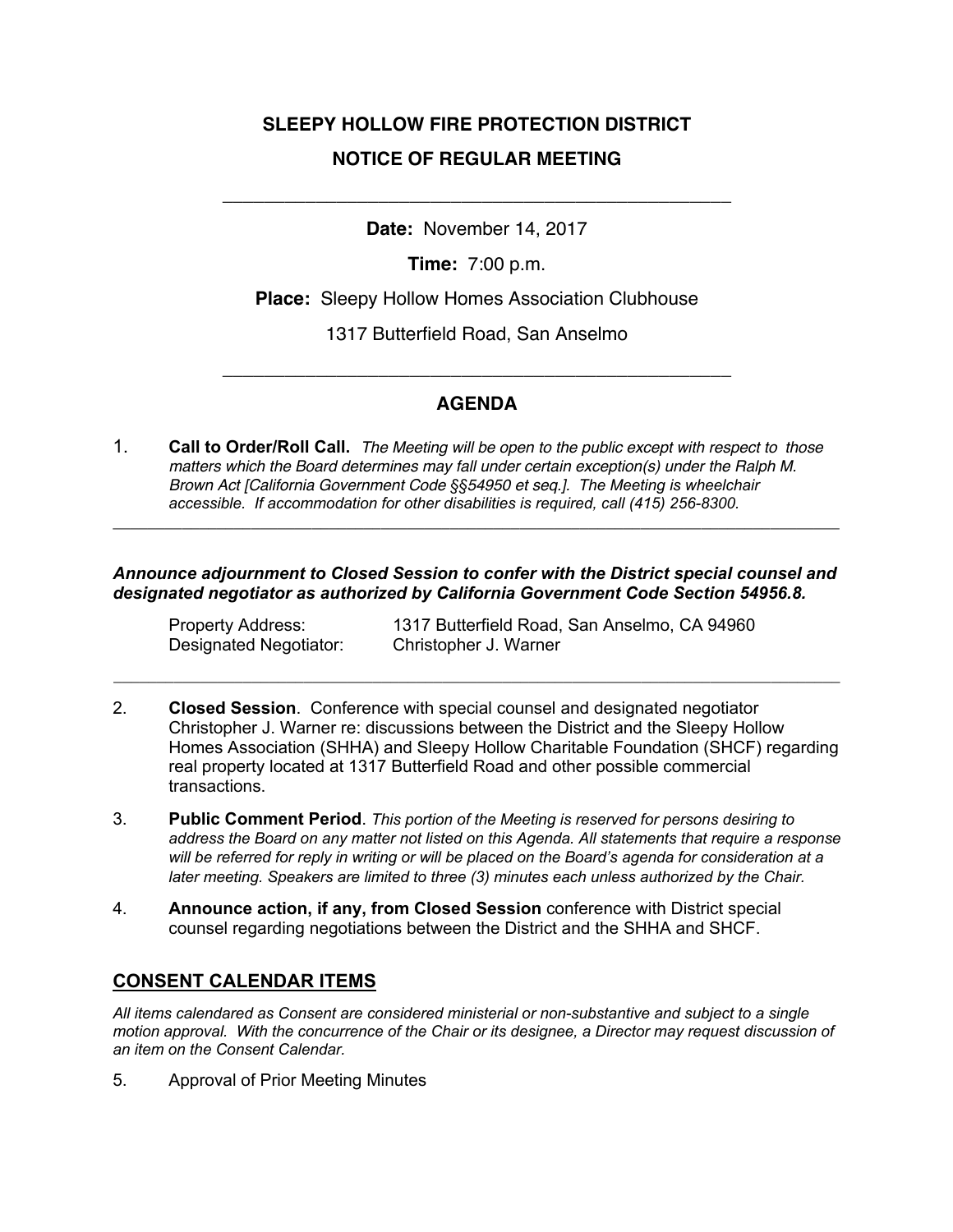# **SLEEPY HOLLOW FIRE PROTECTION DISTRICT NOTICE OF REGULAR MEETING**

**Date:** November 14, 2017

\_\_\_\_\_\_\_\_\_\_\_\_\_\_\_\_\_\_\_\_\_\_\_\_\_\_\_\_\_\_\_\_\_\_\_\_\_\_\_\_\_\_\_\_\_\_\_\_\_

**Time:** 7:00 p.m.

**Place:** Sleepy Hollow Homes Association Clubhouse

1317 Butterfield Road, San Anselmo

## **AGENDA**

\_\_\_\_\_\_\_\_\_\_\_\_\_\_\_\_\_\_\_\_\_\_\_\_\_\_\_\_\_\_\_\_\_\_\_\_\_\_\_\_\_\_\_\_\_\_\_\_\_

1. **Call to Order/Roll Call.** *The Meeting will be open to the public except with respect to those matters which the Board determines may fall under certain exception(s) under the Ralph M. Brown Act [California Government Code §§54950 et seq.]. The Meeting is wheelchair accessible. If accommodation for other disabilities is required, call (415) 256-8300.*

### *Announce adjournment to Closed Session to confer with the District special counsel and designated negotiator as authorized by California Government Code Section 54956.8.*

**\_\_\_\_\_\_\_\_\_\_\_\_\_\_\_\_\_\_\_\_\_\_\_\_\_\_\_\_\_\_\_\_\_\_\_\_\_\_\_\_\_\_\_\_\_\_\_\_\_\_\_\_\_\_\_\_\_\_\_\_\_\_\_\_\_\_\_\_\_\_\_\_\_\_\_\_\_\_\_\_\_\_\_\_**

Designated Negotiator: Christopher J. Warner

Property Address: 1317 Butterfield Road, San Anselmo, CA 94960

2. **Closed Session**. Conference with special counsel and designated negotiator Christopher J. Warner re: discussions between the District and the Sleepy Hollow Homes Association (SHHA) and Sleepy Hollow Charitable Foundation (SHCF) regarding real property located at 1317 Butterfield Road and other possible commercial transactions.

**\_\_\_\_\_\_\_\_\_\_\_\_\_\_\_\_\_\_\_\_\_\_\_\_\_\_\_\_\_\_\_\_\_\_\_\_\_\_\_\_\_\_\_\_\_\_\_\_\_\_\_\_\_\_\_\_\_\_\_\_\_\_\_\_\_\_\_\_\_\_\_\_\_\_\_\_\_\_\_\_\_\_\_\_**

- 3. **Public Comment Period**. *This portion of the Meeting is reserved for persons desiring to address the Board on any matter not listed on this Agenda. All statements that require a response will be referred for reply in writing or will be placed on the Board's agenda for consideration at a later meeting. Speakers are limited to three (3) minutes each unless authorized by the Chair.*
- 4. **Announce action, if any, from Closed Session** conference with District special counsel regarding negotiations between the District and the SHHA and SHCF.

## **CONSENT CALENDAR ITEMS**

*All items calendared as Consent are considered ministerial or non-substantive and subject to a single motion approval. With the concurrence of the Chair or its designee, a Director may request discussion of an item on the Consent Calendar.*

5. Approval of Prior Meeting Minutes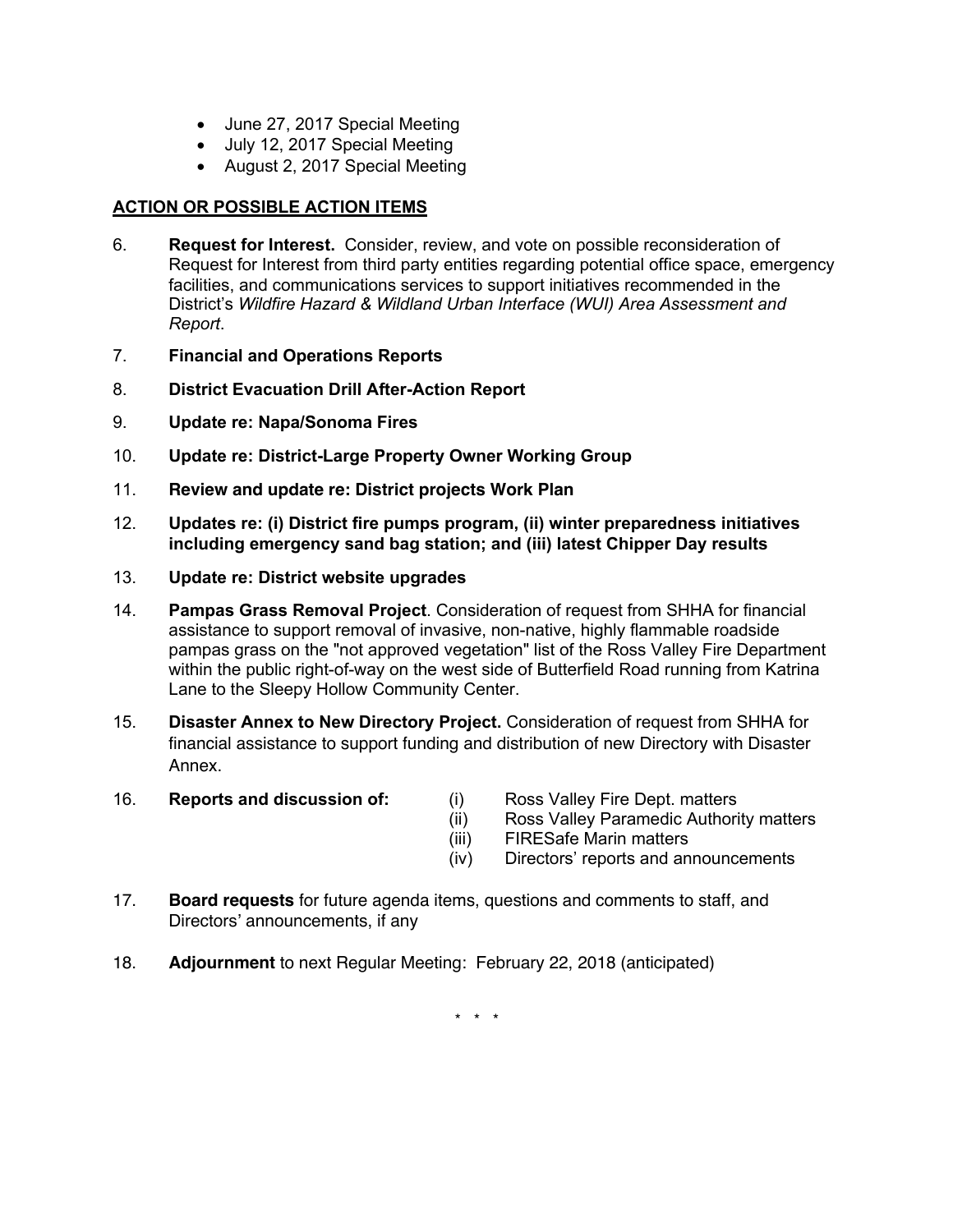- June 27, 2017 Special Meeting
- July 12, 2017 Special Meeting
- August 2, 2017 Special Meeting

### **ACTION OR POSSIBLE ACTION ITEMS**

- 6. **Request for Interest.** Consider, review, and vote on possible reconsideration of Request for Interest from third party entities regarding potential office space, emergency facilities, and communications services to support initiatives recommended in the District's *Wildfire Hazard & Wildland Urban Interface (WUI) Area Assessment and Report*.
- 7. **Financial and Operations Reports**
- 8. **District Evacuation Drill After-Action Report**
- 9. **Update re: Napa/Sonoma Fires**
- 10. **Update re: District-Large Property Owner Working Group**
- 11. **Review and update re: District projects Work Plan**
- 12. **Updates re: (i) District fire pumps program, (ii) winter preparedness initiatives including emergency sand bag station; and (iii) latest Chipper Day results**
- 13. **Update re: District website upgrades**
- 14. **Pampas Grass Removal Project**. Consideration of request from SHHA for financial assistance to support removal of invasive, non-native, highly flammable roadside pampas grass on the "not approved vegetation" list of the Ross Valley Fire Department within the public right-of-way on the west side of Butterfield Road running from Katrina Lane to the Sleepy Hollow Community Center.
- 15. **Disaster Annex to New Directory Project.** Consideration of request from SHHA for financial assistance to support funding and distribution of new Directory with Disaster Annex.
- 16. **Reports and discussion of:** (i) Ross Valley Fire Dept. matters
- - (ii) Ross Valley Paramedic Authority matters
	- (iii) FIRESafe Marin matters
	- (iv) Directors' reports and announcements
- 17. **Board requests** for future agenda items, questions and comments to staff, and Directors' announcements, if any
- 18. **Adjournment** to next Regular Meeting: February 22, 2018 (anticipated)

\* \* \*